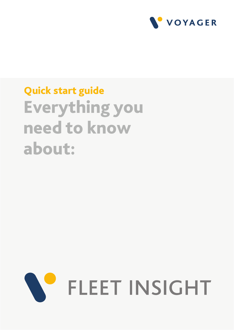

# Quick start guide Everything you need to know about:

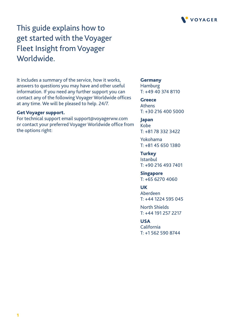

This guide explains how to get started with the Voyager Fleet Insight from Voyager Worldwide.

It includes a summary of the service, how it works, answers to questions you may have and other useful information. If you need any further support you can contact any of the following Voyager Worldwide offices at any time. We will be pleased to help. 24/7.

### Get Voyager support.

For technical support email support@voyagerww.com or contact your preferred Voyager Worldwide office from the options right:

**Germany** Hamburg T: +49 40 374 8110

**Greece** Athens T: +30 216 400 5000

Japan Kobe T: +81 78 332 3422

Yokohama T: +81 45 650 1380

**Turkey** Istanbul T: +90 216 493 7401

Singapore T: +65 6270 4060

**UK** 

Aberdeen T: +44 1224 595 045

North Shields T: +44 191 257 2217

### USA

California T: +1 562 590 8744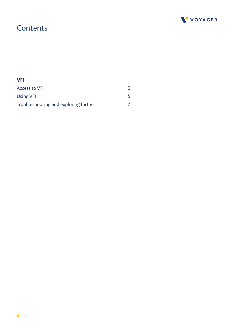

### **Contents**

| <b>VFI</b>                            |  |
|---------------------------------------|--|
| <b>Access to VFI</b>                  |  |
| <b>Using VFI</b>                      |  |
| Troubleshooting and exploring further |  |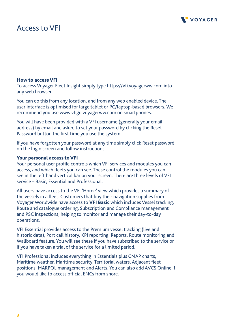

### Access to VFI

### How to access VFI

To access Voyager Fleet Insight simply type https://vfi.voyagerww.com into any web browser.

You can do this from any location, and from any web enabled device. The user interface is optimised for large tablet or PC/laptop-based browsers. We recommend you use www.vfigo.voyagerww.com on smartphones.

You will have been provided with a VFI username (generally your email address) by email and asked to set your password by clicking the Reset Password button the first time you use the system.

If you have forgotten your password at any time simply click Reset password on the login screen and follow instructions.

### Your personal access to VFI

Your personal user profile controls which VFI services and modules you can access, and which fleets you can see. These control the modules you can see in the left hand vertical bar on your screen. There are three levels of VFI service – Basic, Essential and Professional.

All users have access to the VFI 'Home' view which provides a summary of the vessels in a fleet. Customers that buy their navigation supplies from Voyager Worldwide have access to VFI Basic which includes Vessel tracking, Route and catalogue ordering, Subscription and Compliance management and PSC inspections, helping to monitor and manage their day-to-day operations.

VFI Essential provides access to the Premium vessel tracking (live and historic data), Port call history, KPI reporting, Reports, Route monitoring and Wallboard feature. You will see these if you have subscribed to the service or if you have taken a trial of the service for a limited period.

VFI Professional includes everything in Essentials plus CMAP charts, Maritime weather, Maritime security, Territorial waters, Adjacent fleet positions, MARPOL management and Alerts. You can also add AVCS Online if you would like to access official ENCs from shore.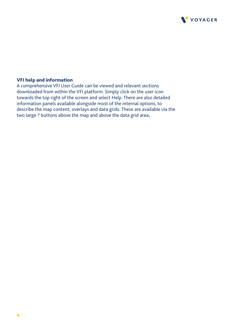

### VFI help and information

A comprehensive VFI User Guide can be viewed and relevant sections downloaded from within the VFI platform. Simply click on the user icon towards the top right of the screen and select Help. There are also detailed information panels available alongside most of the internal options, to describe the map content, overlays and data grids. These are available via the two large ? buttons above the map and above the data grid area.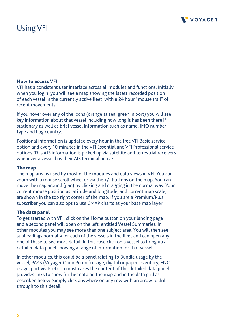# Using VFI



### How to access VFI

VFI has a consistent user interface across all modules and functions. Initially when you login, you will see a map showing the latest recorded position of each vessel in the currently active fleet, with a 24 hour "mouse trail" of recent movements.

If you hover over any of the icons (orange at sea, green in port) you will see key information about that vessel including how long it has been there if stationary as well as brief vessel information such as name, IMO number, type and flag country.

Positional information is updated every hour in the free VFI Basic service option and every 10 minutes in the VFI Essential and VFI Professional service options. This AIS information is picked up via satellite and terrestrial receivers whenever a vessel has their AIS terminal active.

### The map

The map area is used by most of the modules and data views in VFI. You can zoom with a mouse scroll wheel or via the +/- buttons on the map. You can move the map around (pan) by clicking and dragging in the normal way. Your current mouse position as latitude and longitude, and current map scale, are shown in the top right corner of the map. If you are a Premium/Plus subscriber you can also opt to use CMAP charts as your base map layer.

### The data panel

To get started with VFI, click on the Home button on your landing page and a second panel will open on the left, entitled Vessel Summaries. In other modules you may see more than one subject area. You will then see subheadings normally for each of the vessels in the fleet and can open any one of these to see more detail. In this case click on a vessel to bring up a detailed data panel showing a range of information for that vessel.

In other modules, this could be a panel relating to Bundle usage by the vessel, PAYS (Voyager Open Permit) usage, digital or paper inventory, ENC usage, port visits etc. In most cases the content of this detailed data panel provides links to show further data on the map and in the data grid as described below. Simply click anywhere on any row with an arrow to drill through to this detail.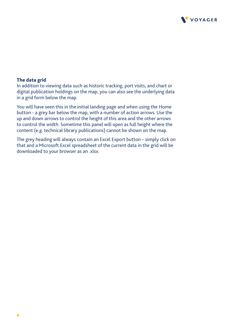

### The data grid

In addition to viewing data such as historic tracking, port visits, and chart or digital publication holdings on the map, you can also see the underlying data in a grid form below the map.

You will have seen this in the initial landing page and when using the Home button - a grey bar below the map, with a number of action arrows. Use the up and down arrows to control the height of this area and the other arrows to control the width. Sometime this panel will open as full height where the content (e.g. technical library publications) cannot be shown on the map.

The grey heading will always contain an Excel Export button – simply click on that and a Microsoft Excel spreadsheet of the current data in the grid will be downloaded to your browser as an .xlsx.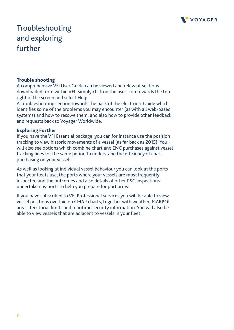

# Troubleshooting and exploring further

### Trouble shooting

A comprehensive VFI User Guide can be viewed and relevant sections downloaded from within VFI. Simply click on the user icon towards the top right of the screen and select Help.

A Troubleshooting section towards the back of the electronic Guide which identifies some of the problems you may encounter (as with all web-based systems) and how to resolve them, and also how to provide other feedback and requests back to Voyager Worldwide.

### Exploring Further

If you have the VFI Essential package, you can for instance use the position tracking to view historic movements of a vessel (as far back as 2015). You will also see options which combine chart and ENC purchases against vessel tracking lines for the same period to understand the efficiency of chart purchasing on your vessels.

As well as looking at individual vessel behaviour you can look at the ports that your fleets use, the ports where your vessels are most frequently inspected and the outcomes and also details of other PSC inspections undertaken by ports to help you prepare for port arrival.

If you have subscribed to VFI Professional services you will be able to view vessel positions overlaid on CMAP charts, together with weather, MARPOL areas, territorial limits and maritime security information. You will also be able to view vessels that are adjacent to vessels in your fleet.